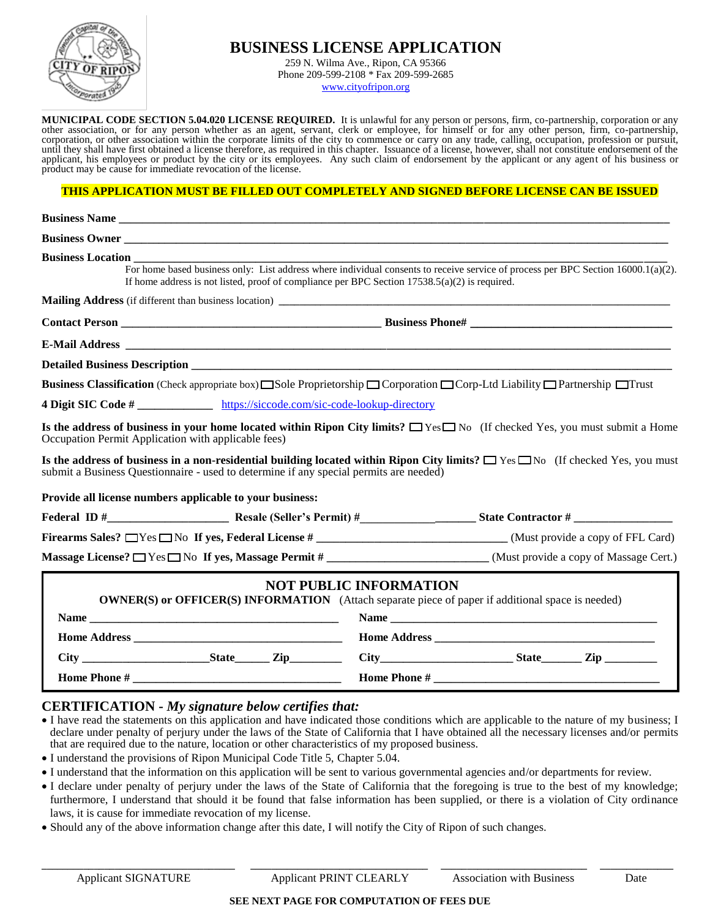

## **BUSINESS LICENSE APPLICATION**

259 N. Wilma Ave., Ripon, CA 95366 Phone 209-599-2108 \* Fax 209-599-2685 [www.cityofripon.org](http://www.cityofripon.org/)

**MUNICIPAL CODE SECTION 5.04.020 LICENSE REQUIRED.** It is unlawful for any person or persons, firm, co-partnership, corporation or any other association, or for any person whether as an agent, servant, clerk or employee, for himself or for any other person, firm, co-partnership, corporation, or other association within the corporate limits of the city to commence or carry on any trade, calling, occupation, profession or pursuit, until they shall have first obtained a license therefore, as required in this chapter. Issuance of a license, however, shall not constitute endorsement of the applicant, his employees or product by the city or its employees. Any such claim of endorsement by the applicant or any agent of his business or product may be cause for immediate revocation of the license.

#### **THIS APPLICATION MUST BE FILLED OUT COMPLETELY AND SIGNED BEFORE LICENSE CAN BE ISSUED**

| Business Owner                                                                                                                                                                                                                            |                                                                                                                                   |  |  |
|-------------------------------------------------------------------------------------------------------------------------------------------------------------------------------------------------------------------------------------------|-----------------------------------------------------------------------------------------------------------------------------------|--|--|
| If home address is not listed, proof of compliance per BPC Section $17538.5(a)(2)$ is required.                                                                                                                                           | For home based business only: List address where individual consents to receive service of process per BPC Section 16000.1(a)(2). |  |  |
|                                                                                                                                                                                                                                           |                                                                                                                                   |  |  |
|                                                                                                                                                                                                                                           |                                                                                                                                   |  |  |
|                                                                                                                                                                                                                                           |                                                                                                                                   |  |  |
|                                                                                                                                                                                                                                           |                                                                                                                                   |  |  |
| <b>Business Classification</b> (Check appropriate box) Sole Proprietorship $\Box$ Corporation $\Box$ Corp-Ltd Liability $\Box$ Partnership $\Box$ Trust                                                                                   |                                                                                                                                   |  |  |
| 4 Digit SIC Code # _______________ https://siccode.com/sic-code-lookup-directory                                                                                                                                                          |                                                                                                                                   |  |  |
| Is the address of business in your home located within Ripon City limits? $\Box$ Yes $\Box$ No (If checked Yes, you must submit a Home<br>Occupation Permit Application with applicable fees)                                             |                                                                                                                                   |  |  |
| Is the address of business in a non-residential building located within Ripon City limits? $\square$ Yes $\square$ No (If checked Yes, you must<br>submit a Business Questionnaire - used to determine if any special permits are needed) |                                                                                                                                   |  |  |
| Provide all license numbers applicable to your business:                                                                                                                                                                                  |                                                                                                                                   |  |  |
|                                                                                                                                                                                                                                           |                                                                                                                                   |  |  |
| Firearms Sales? $\Box$ Yes $\Box$ No If yes, Federal License #______________________________(Must provide a copy of FFL Card)                                                                                                             |                                                                                                                                   |  |  |
| Massage License? Nes No If yes, Massage Permit # _________________________(Must provide a copy of Massage Cert.)                                                                                                                          |                                                                                                                                   |  |  |
| <b>NOT PUBLIC INFORMATION</b><br><b>OWNER(S) or OFFICER(S) INFORMATION</b> (Attach separate piece of paper if additional space is needed)                                                                                                 |                                                                                                                                   |  |  |
|                                                                                                                                                                                                                                           |                                                                                                                                   |  |  |

## **CERTIFICATION -** *My signature below certifies that:*

 I have read the statements on this application and have indicated those conditions which are applicable to the nature of my business; I declare under penalty of perjury under the laws of the State of California that I have obtained all the necessary licenses and/or permits that are required due to the nature, location or other characteristics of my proposed business.

 **City \_\_\_\_\_\_\_\_\_\_\_\_\_\_\_\_\_\_\_\_\_\_State\_\_\_\_\_\_ Zip\_\_\_\_\_\_\_\_\_ City\_\_\_\_\_\_\_\_\_\_\_\_\_\_\_\_\_\_\_\_\_\_\_ State\_\_\_\_\_\_\_ Zip \_\_\_\_\_\_\_\_\_**

I understand the provisions of Ripon Municipal Code Title 5, Chapter 5.04.

 **Home Phone # \_\_\_\_\_\_\_\_\_\_\_\_\_\_\_\_\_\_\_\_\_\_\_\_\_\_\_\_\_\_\_\_\_\_\_\_ Home Phone # \_\_\_\_\_\_\_\_\_\_\_\_\_\_\_\_\_\_\_\_\_\_\_\_\_\_\_\_\_\_\_\_\_\_\_\_\_\_\_**

- I understand that the information on this application will be sent to various governmental agencies and/or departments for review.
- I declare under penalty of perjury under the laws of the State of California that the foregoing is true to the best of my knowledge; furthermore, I understand that should it be found that false information has been supplied, or there is a violation of City ordinance laws, it is cause for immediate revocation of my license.
- Should any of the above information change after this date, I will notify the City of Ripon of such changes.

**\_\_\_\_\_\_\_\_\_\_\_\_\_\_\_\_\_\_\_\_\_\_\_\_\_\_\_\_\_\_\_\_\_\_\_\_\_ \_\_\_\_\_\_\_\_\_\_\_\_\_\_\_\_\_\_\_\_\_\_\_\_\_\_\_\_\_\_\_\_\_\_ \_\_\_\_\_\_\_\_\_\_\_\_\_\_\_\_\_\_\_\_\_\_\_\_\_\_\_\_ \_\_\_\_\_\_\_\_\_\_\_\_\_\_**